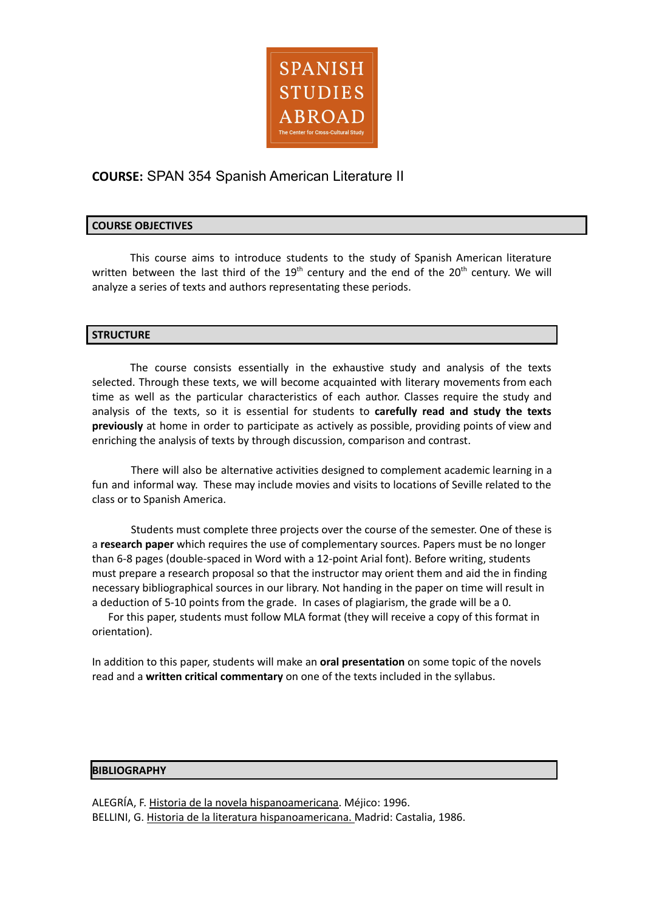

# **COURSE:** SPAN 354 Spanish American Literature II

# **COURSE OBJECTIVES**

This course aims to introduce students to the study of Spanish American literature written between the last third of the  $19<sup>th</sup>$  century and the end of the  $20<sup>th</sup>$  century. We will analyze a series of texts and authors representating these periods.

## **STRUCTURE**

The course consists essentially in the exhaustive study and analysis of the texts selected. Through these texts, we will become acquainted with literary movements from each time as well as the particular characteristics of each author. Classes require the study and analysis of the texts, so it is essential for students to **carefully read and study the texts previously** at home in order to participate as actively as possible, providing points of view and enriching the analysis of texts by through discussion, comparison and contrast.

There will also be alternative activities designed to complement academic learning in a fun and informal way. These may include movies and visits to locations of Seville related to the class or to Spanish America.

Students must complete three projects over the course of the semester. One of these is a **research paper** which requires the use of complementary sources. Papers must be no longer than 6-8 pages (double-spaced in Word with a 12-point Arial font). Before writing, students must prepare a research proposal so that the instructor may orient them and aid the in finding necessary bibliographical sources in our library. Not handing in the paper on time will result in a deduction of 5-10 points from the grade. In cases of plagiarism, the grade will be a 0.

For this paper, students must follow MLA format (they will receive a copy of this format in orientation).

In addition to this paper, students will make an **oral presentation** on some topic of the novels read and a **written critical commentary** on one of the texts included in the syllabus.

#### **BIBLIOGRAPHY**

ALEGRÍA, F. Historia de la novela hispanoamericana. Méjico: 1996. BELLINI, G. Historia de la literatura hispanoamericana. Madrid: Castalia, 1986.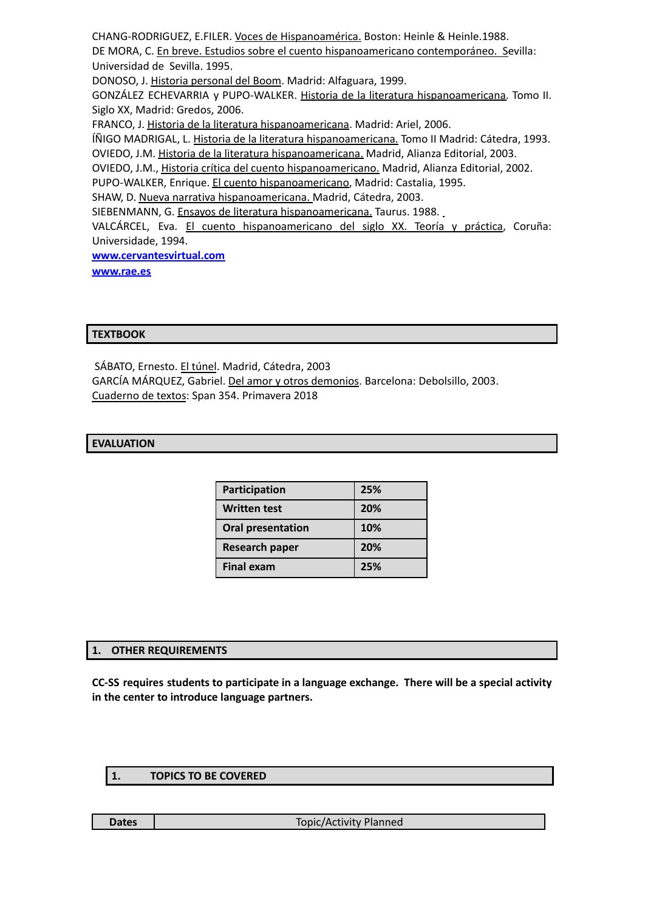CHANG-RODRIGUEZ, E.FILER. Voces de Hispanoamérica. Boston: Heinle & Heinle.1988. DE MORA, C. En breve. Estudios sobre el cuento hispanoamericano contemporáneo. Sevilla: Universidad de Sevilla. 1995. DONOSO, J. Historia personal del Boom. Madrid: Alfaguara, 1999. GONZÁLEZ ECHEVARRIA y PUPO-WALKER. Historia de la literatura hispanoamericana. Tomo II. Siglo XX, Madrid: Gredos, 2006. FRANCO, J. Historia de la literatura hispanoamericana. Madrid: Ariel, 2006. ÍÑIGO MADRIGAL, L. Historia de la literatura hispanoamericana. Tomo II Madrid: Cátedra, 1993. OVIEDO, J.M. Historia de la literatura hispanoamericana. Madrid, Alianza Editorial, 2003. OVIEDO, J.M., Historia crítica del cuento hispanoamericano. Madrid, Alianza Editorial, 2002. PUPO-WALKER, Enrique. El cuento hispanoamericano, Madrid: Castalia, 1995. SHAW, D. Nueva narrativa hispanoamericana. Madrid, Cátedra, 2003. SIEBENMANN, G. Ensayos de literatura hispanoamericana. Taurus. 1988. VALCÁRCEL, Eva. El cuento hispanoamericano del siglo XX. Teoría y práctica, Coruña: Universidade, 1994. **[www.cervantesvirtual.com](http://www.cervantesvirtual.com) [www.rae.es](http://www.rae.es)**

#### **TEXTBOOK**

SÁBATO, Ernesto. El túnel. Madrid, Cátedra, 2003 GARCÍA MÁRQUEZ, Gabriel. Del amor y otros demonios. Barcelona: Debolsillo, 2003. Cuaderno de textos: Span 354. Primavera 2018

## **EVALUATION**

| Participation            | 25% |
|--------------------------|-----|
| <b>Written test</b>      | 20% |
| <b>Oral presentation</b> | 10% |
| <b>Research paper</b>    | 20% |
| <b>Final exam</b>        | 25% |

# **1. OTHER REQUIREMENTS**

**CC-SS requires students to participate in a language exchange. There will be a special activity in the center to introduce language partners.**

#### **1. TOPICS TO BE COVERED**

**Dates Dates Topic/Activity Planned**